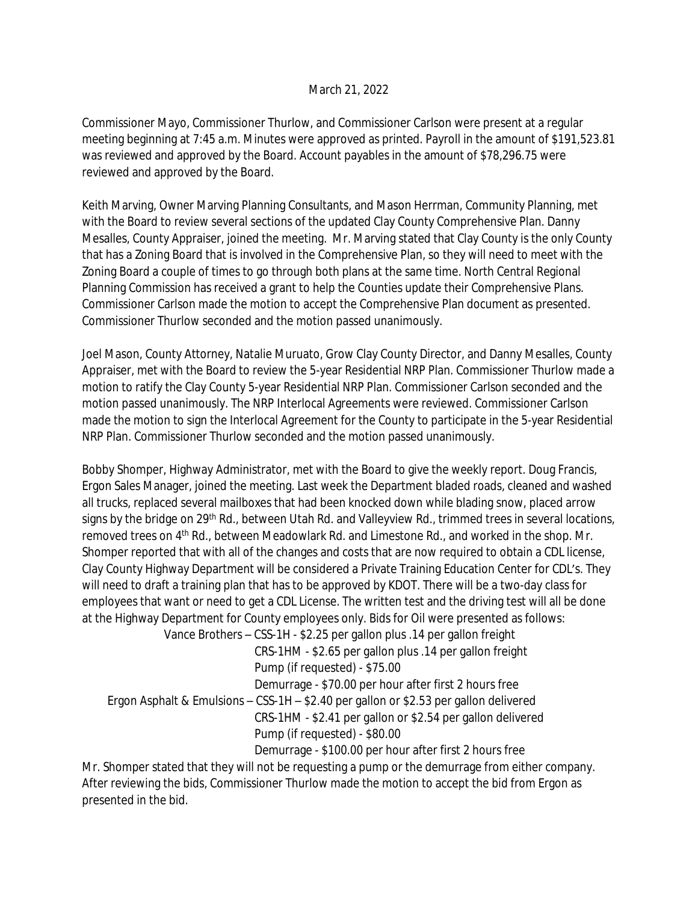## March 21, 2022

Commissioner Mayo, Commissioner Thurlow, and Commissioner Carlson were present at a regular meeting beginning at 7:45 a.m. Minutes were approved as printed. Payroll in the amount of \$191,523.81 was reviewed and approved by the Board. Account payables in the amount of \$78,296.75 were reviewed and approved by the Board.

Keith Marving, Owner Marving Planning Consultants, and Mason Herrman, Community Planning, met with the Board to review several sections of the updated Clay County Comprehensive Plan. Danny Mesalles, County Appraiser, joined the meeting. Mr. Marving stated that Clay County is the only County that has a Zoning Board that is involved in the Comprehensive Plan, so they will need to meet with the Zoning Board a couple of times to go through both plans at the same time. North Central Regional Planning Commission has received a grant to help the Counties update their Comprehensive Plans. Commissioner Carlson made the motion to accept the Comprehensive Plan document as presented. Commissioner Thurlow seconded and the motion passed unanimously.

Joel Mason, County Attorney, Natalie Muruato, Grow Clay County Director, and Danny Mesalles, County Appraiser, met with the Board to review the 5-year Residential NRP Plan. Commissioner Thurlow made a motion to ratify the Clay County 5-year Residential NRP Plan. Commissioner Carlson seconded and the motion passed unanimously. The NRP Interlocal Agreements were reviewed. Commissioner Carlson made the motion to sign the Interlocal Agreement for the County to participate in the 5-year Residential NRP Plan. Commissioner Thurlow seconded and the motion passed unanimously.

Bobby Shomper, Highway Administrator, met with the Board to give the weekly report. Doug Francis, Ergon Sales Manager, joined the meeting. Last week the Department bladed roads, cleaned and washed all trucks, replaced several mailboxes that had been knocked down while blading snow, placed arrow signs by the bridge on 29<sup>th</sup> Rd., between Utah Rd. and Valleyview Rd., trimmed trees in several locations, removed trees on 4th Rd., between Meadowlark Rd. and Limestone Rd., and worked in the shop. Mr. Shomper reported that with all of the changes and costs that are now required to obtain a CDL license, Clay County Highway Department will be considered a Private Training Education Center for CDL's. They will need to draft a training plan that has to be approved by KDOT. There will be a two-day class for employees that want or need to get a CDL License. The written test and the driving test will all be done at the Highway Department for County employees only. Bids for Oil were presented as follows: Vance Brothers – CSS-1H - \$2.25 per gallon plus .14 per gallon freight

 CRS-1HM - \$2.65 per gallon plus .14 per gallon freight Pump (if requested) - \$75.00 Demurrage - \$70.00 per hour after first 2 hours free Ergon Asphalt & Emulsions – CSS-1H –  $$2.40$  per gallon or  $$2.53$  per gallon delivered CRS-1HM - \$2.41 per gallon or \$2.54 per gallon delivered Pump (if requested) - \$80.00 Demurrage - \$100.00 per hour after first 2 hours free

Mr. Shomper stated that they will not be requesting a pump or the demurrage from either company. After reviewing the bids, Commissioner Thurlow made the motion to accept the bid from Ergon as presented in the bid.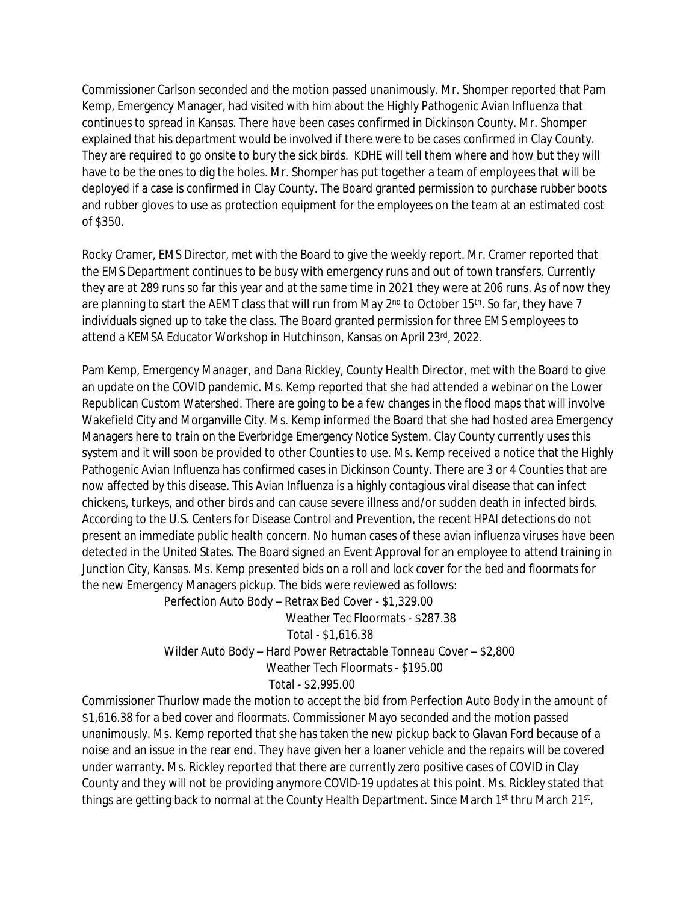Commissioner Carlson seconded and the motion passed unanimously. Mr. Shomper reported that Pam Kemp, Emergency Manager, had visited with him about the Highly Pathogenic Avian Influenza that continues to spread in Kansas. There have been cases confirmed in Dickinson County. Mr. Shomper explained that his department would be involved if there were to be cases confirmed in Clay County. They are required to go onsite to bury the sick birds. KDHE will tell them where and how but they will have to be the ones to dig the holes. Mr. Shomper has put together a team of employees that will be deployed if a case is confirmed in Clay County. The Board granted permission to purchase rubber boots and rubber gloves to use as protection equipment for the employees on the team at an estimated cost of \$350.

Rocky Cramer, EMS Director, met with the Board to give the weekly report. Mr. Cramer reported that the EMS Department continues to be busy with emergency runs and out of town transfers. Currently they are at 289 runs so far this year and at the same time in 2021 they were at 206 runs. As of now they are planning to start the AEMT class that will run from May 2<sup>nd</sup> to October 15<sup>th</sup>. So far, they have 7 individuals signed up to take the class. The Board granted permission for three EMS employees to attend a KEMSA Educator Workshop in Hutchinson, Kansas on April 23rd, 2022.

Pam Kemp, Emergency Manager, and Dana Rickley, County Health Director, met with the Board to give an update on the COVID pandemic. Ms. Kemp reported that she had attended a webinar on the Lower Republican Custom Watershed. There are going to be a few changes in the flood maps that will involve Wakefield City and Morganville City. Ms. Kemp informed the Board that she had hosted area Emergency Managers here to train on the Everbridge Emergency Notice System. Clay County currently uses this system and it will soon be provided to other Counties to use. Ms. Kemp received a notice that the Highly Pathogenic Avian Influenza has confirmed cases in Dickinson County. There are 3 or 4 Counties that are now affected by this disease. This Avian Influenza is a highly contagious viral disease that can infect chickens, turkeys, and other birds and can cause severe illness and/or sudden death in infected birds. According to the U.S. Centers for Disease Control and Prevention, the recent HPAI detections do not present an immediate public health concern. No human cases of these avian influenza viruses have been detected in the United States. The Board signed an Event Approval for an employee to attend training in Junction City, Kansas. Ms. Kemp presented bids on a roll and lock cover for the bed and floormats for the new Emergency Managers pickup. The bids were reviewed as follows:

Perfection Auto Body – Retrax Bed Cover - \$1,329.00 Weather Tec Floormats - \$287.38 Total - \$1,616.38 Wilder Auto Body – Hard Power Retractable Tonneau Cover – \$2,800 Weather Tech Floormats - \$195.00 Total - \$2,995.00

Commissioner Thurlow made the motion to accept the bid from Perfection Auto Body in the amount of \$1,616.38 for a bed cover and floormats. Commissioner Mayo seconded and the motion passed unanimously. Ms. Kemp reported that she has taken the new pickup back to Glavan Ford because of a noise and an issue in the rear end. They have given her a loaner vehicle and the repairs will be covered under warranty. Ms. Rickley reported that there are currently zero positive cases of COVID in Clay County and they will not be providing anymore COVID-19 updates at this point. Ms. Rickley stated that things are getting back to normal at the County Health Department. Since March 1<sup>st</sup> thru March 21<sup>st</sup>,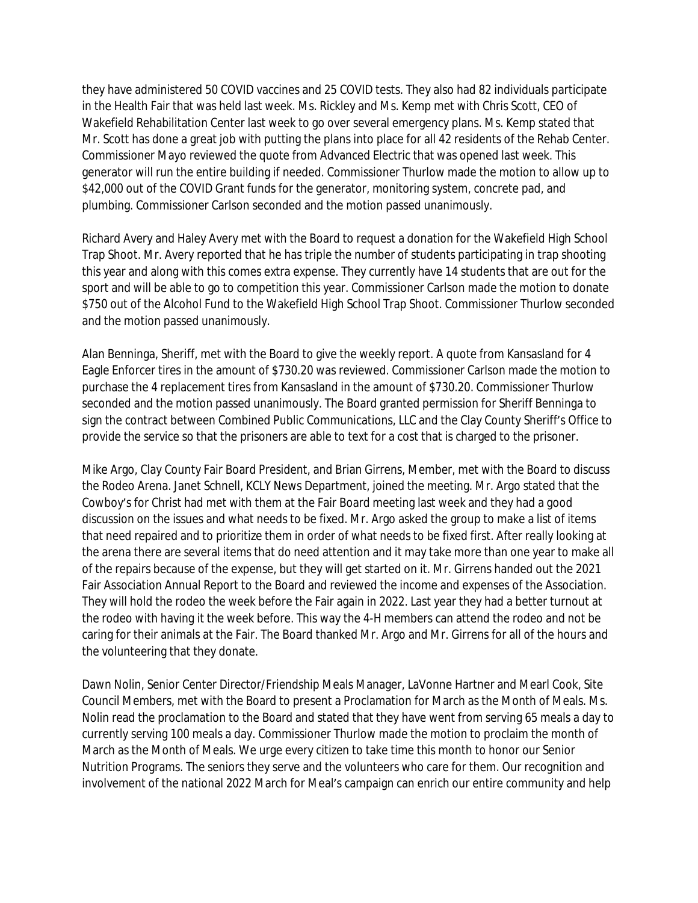they have administered 50 COVID vaccines and 25 COVID tests. They also had 82 individuals participate in the Health Fair that was held last week. Ms. Rickley and Ms. Kemp met with Chris Scott, CEO of Wakefield Rehabilitation Center last week to go over several emergency plans. Ms. Kemp stated that Mr. Scott has done a great job with putting the plans into place for all 42 residents of the Rehab Center. Commissioner Mayo reviewed the quote from Advanced Electric that was opened last week. This generator will run the entire building if needed. Commissioner Thurlow made the motion to allow up to \$42,000 out of the COVID Grant funds for the generator, monitoring system, concrete pad, and plumbing. Commissioner Carlson seconded and the motion passed unanimously.

Richard Avery and Haley Avery met with the Board to request a donation for the Wakefield High School Trap Shoot. Mr. Avery reported that he has triple the number of students participating in trap shooting this year and along with this comes extra expense. They currently have 14 students that are out for the sport and will be able to go to competition this year. Commissioner Carlson made the motion to donate \$750 out of the Alcohol Fund to the Wakefield High School Trap Shoot. Commissioner Thurlow seconded and the motion passed unanimously.

Alan Benninga, Sheriff, met with the Board to give the weekly report. A quote from Kansasland for 4 Eagle Enforcer tires in the amount of \$730.20 was reviewed. Commissioner Carlson made the motion to purchase the 4 replacement tires from Kansasland in the amount of \$730.20. Commissioner Thurlow seconded and the motion passed unanimously. The Board granted permission for Sheriff Benninga to sign the contract between Combined Public Communications, LLC and the Clay County Sheriff's Office to provide the service so that the prisoners are able to text for a cost that is charged to the prisoner.

Mike Argo, Clay County Fair Board President, and Brian Girrens, Member, met with the Board to discuss the Rodeo Arena. Janet Schnell, KCLY News Department, joined the meeting. Mr. Argo stated that the Cowboy's for Christ had met with them at the Fair Board meeting last week and they had a good discussion on the issues and what needs to be fixed. Mr. Argo asked the group to make a list of items that need repaired and to prioritize them in order of what needs to be fixed first. After really looking at the arena there are several items that do need attention and it may take more than one year to make all of the repairs because of the expense, but they will get started on it. Mr. Girrens handed out the 2021 Fair Association Annual Report to the Board and reviewed the income and expenses of the Association. They will hold the rodeo the week before the Fair again in 2022. Last year they had a better turnout at the rodeo with having it the week before. This way the 4-H members can attend the rodeo and not be caring for their animals at the Fair. The Board thanked Mr. Argo and Mr. Girrens for all of the hours and the volunteering that they donate.

Dawn Nolin, Senior Center Director/Friendship Meals Manager, LaVonne Hartner and Mearl Cook, Site Council Members, met with the Board to present a Proclamation for March as the Month of Meals. Ms. Nolin read the proclamation to the Board and stated that they have went from serving 65 meals a day to currently serving 100 meals a day. Commissioner Thurlow made the motion to proclaim the month of March as the Month of Meals. We urge every citizen to take time this month to honor our Senior Nutrition Programs. The seniors they serve and the volunteers who care for them. Our recognition and involvement of the national 2022 March for Meal's campaign can enrich our entire community and help